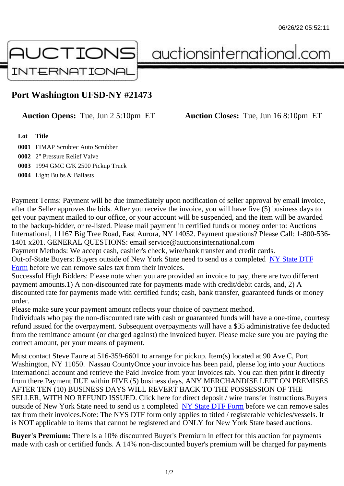## Port Washington UFSD-NY #21473

Auction Opens: Tue, Jun 2 5:10pm ET Auction Closes: Tue, Jun 16 8:10pm ET

Lot Title

 FIMAP Scrubtec Auto Scrubber 2" Pressure Relief Valve 1994 GMC C/K 2500 Pickup Truck Light Bulbs & Ballasts

Payment Terms: Payment will be due immediately upon notification of seller approval by email invoice, after the Seller approves the bids. After you receive the invoice, you will have five (5) business days to get your payment mailed to our office, or your account will be suspended, and the item will be awarded to the backup-bidder, or re-listed. Please mail payment in certified funds or money order to: Auctions International, 11167 Big Tree Road, East Aurora, NY 14052. Payment questions? Please Call: 1-800-53 1401 x201. GENERAL QUESTIONS: email service@auctionsinternational.com Payment Methods: We accept cash, cashier's check, wire/bank transfer and credit cards.

Out-of-State Buyers: Buyers outside of New York State need to send us a com blestate DTF Form before we can remove sales tax from their invoices.

Successful High Bidders: Please note when you are provided an invoice to pay, there are two different payment amounts.1) A non-discounted rate for payments made with credit/de[bit cards, and](https://www.auctionsinternational.com/auxiliary/downloads/DTF_Form/dtf_fill_in.pdf), 2) A [disco](https://www.auctionsinternational.com/auxiliary/downloads/DTF_Form/dtf_fill_in.pdf)unted rate for payments made with certified funds; cash, bank transfer, guaranteed funds or mone order.

Please make sure your payment amount reflects your choice of payment method.

Individuals who pay the non-discounted rate with cash or guaranteed funds will have a one-time, courte refund issued for the overpayment. Subsequent overpayments will have a \$35 administrative fee deduc from the remittance amount (or charged against) the invoiced buyer. Please make sure you are paying correct amount, per your means of payment.

Must contact Steve Faure at 516-359-6601 to arrange for pickup. Item(s) located at 90 Ave C, Port Washington, NY 11050. Nassau CountyOnce your invoice has been paid, please log into your Auctions International account and retrieve the Paid Invoice from your Invoices tab. You can then print it directly from there.Payment DUE within FIVE (5) business days, ANY MERCHANDISE LEFT ON PREMISES AFTER TEN (10) BUSINESS DAYS WILL REVERT BACK TO THE POSSESSION OF THE SELLER, WITH NO REFUND ISSUED. Click here for direct deposit / wire transfer instructions.Buyers outside of New York State need to send us a complete **State DTF Form before we can remove sales** tax from their invoices.Note: The NYS DTF form only applies to titled / registerable vehicles/vessels. It is NOT applicable to items that cannot be registered and ONLY for New York State based auctions.

Buyer's Premium: There is a 10% discounted Buye[r's Premium in effec](https://www.auctionsinternational.com/auxiliary/downloads/DTF_Form/dtf_fill_in.pdf)t for this auction for payments made with cash or certified funds. A 14% non-discounted buyer's premium will be charged for payments